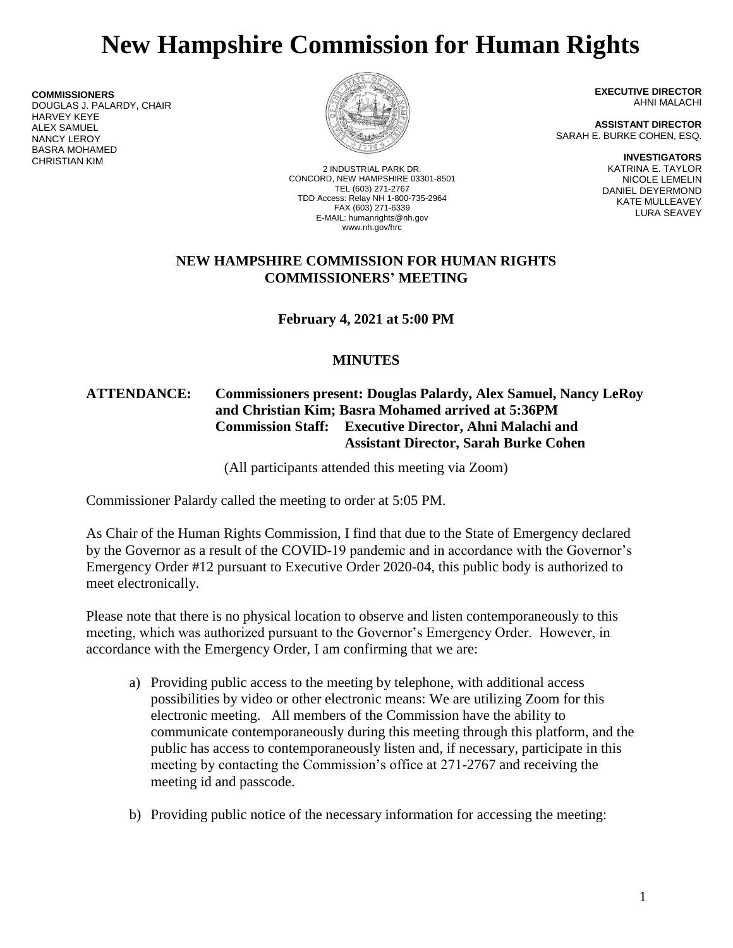# **New Hampshire Commission for Human Rights**

**COMMISSIONERS** DOUGLAS J. PALARDY, CHAIR HARVEY KEYE ALEX SAMUEL NANCY LEROY BASRA MOHAMED CHRISTIAN KIM



2 INDUSTRIAL PARK DR. CONCORD, NEW HAMPSHIRE 03301-8501 TEL (603) 271-2767 TDD Access: Relay NH 1-800-735-2964 FAX (603) 271-6339 E-MAIL: humanrights@nh.gov www.nh.gov/hrc

**EXECUTIVE DIRECTOR** AHNI MALACHI

**ASSISTANT DIRECTOR** SARAH E. BURKE COHEN, ESQ.

> **INVESTIGATORS** KATRINA E. TAYLOR NICOLE LEMELIN DANIEL DEYERMOND KATE MULLEAVEY LURA SEAVEY

### **NEW HAMPSHIRE COMMISSION FOR HUMAN RIGHTS COMMISSIONERS' MEETING**

**February 4, 2021 at 5:00 PM**

## **MINUTES**

## **ATTENDANCE: Commissioners present: Douglas Palardy, Alex Samuel, Nancy LeRoy and Christian Kim; Basra Mohamed arrived at 5:36PM Commission Staff: Executive Director, Ahni Malachi and Assistant Director, Sarah Burke Cohen**

(All participants attended this meeting via Zoom)

Commissioner Palardy called the meeting to order at 5:05 PM.

As Chair of the Human Rights Commission, I find that due to the State of Emergency declared by the Governor as a result of the COVID-19 pandemic and in accordance with the Governor's Emergency Order #12 pursuant to Executive Order 2020-04, this public body is authorized to meet electronically.

Please note that there is no physical location to observe and listen contemporaneously to this meeting, which was authorized pursuant to the Governor's Emergency Order. However, in accordance with the Emergency Order, I am confirming that we are:

- a) Providing public access to the meeting by telephone, with additional access possibilities by video or other electronic means: We are utilizing Zoom for this electronic meeting. All members of the Commission have the ability to communicate contemporaneously during this meeting through this platform, and the public has access to contemporaneously listen and, if necessary, participate in this meeting by contacting the Commission's office at 271-2767 and receiving the meeting id and passcode.
- b) Providing public notice of the necessary information for accessing the meeting: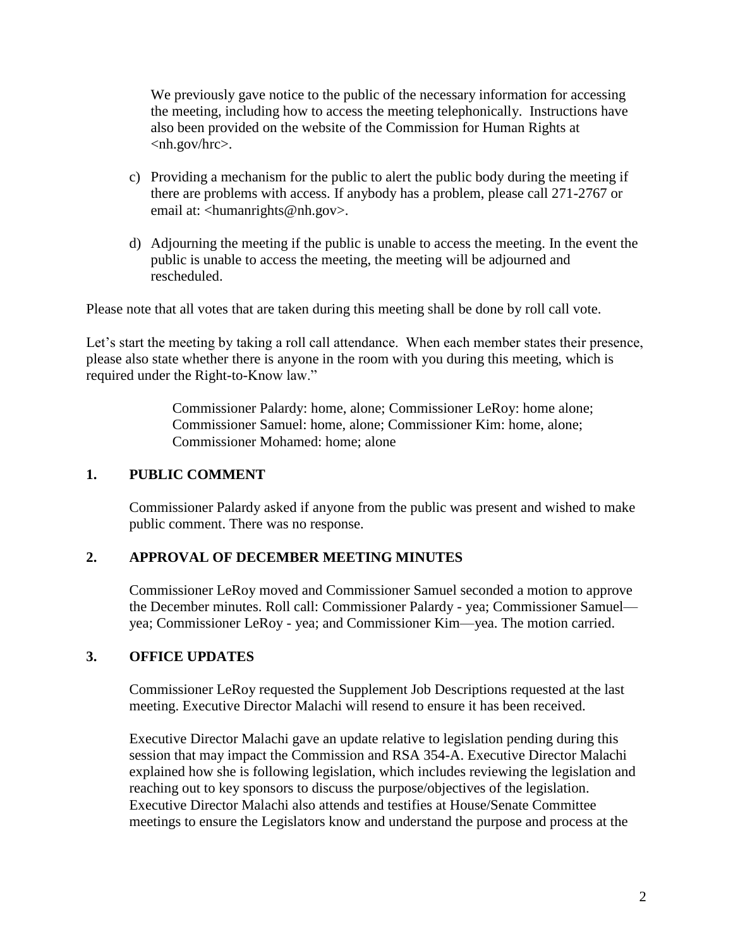We previously gave notice to the public of the necessary information for accessing the meeting, including how to access the meeting telephonically. Instructions have also been provided on the website of the Commission for Human Rights at <nh.gov/hrc>.

- c) Providing a mechanism for the public to alert the public body during the meeting if there are problems with access. If anybody has a problem, please call 271-2767 or email at: <humanrights@nh.gov>.
- d) Adjourning the meeting if the public is unable to access the meeting. In the event the public is unable to access the meeting, the meeting will be adjourned and rescheduled.

Please note that all votes that are taken during this meeting shall be done by roll call vote.

Let's start the meeting by taking a roll call attendance. When each member states their presence, please also state whether there is anyone in the room with you during this meeting, which is required under the Right-to-Know law."

> Commissioner Palardy: home, alone; Commissioner LeRoy: home alone; Commissioner Samuel: home, alone; Commissioner Kim: home, alone; Commissioner Mohamed: home; alone

#### **1. PUBLIC COMMENT**

Commissioner Palardy asked if anyone from the public was present and wished to make public comment. There was no response.

#### **2. APPROVAL OF DECEMBER MEETING MINUTES**

Commissioner LeRoy moved and Commissioner Samuel seconded a motion to approve the December minutes. Roll call: Commissioner Palardy - yea; Commissioner Samuel yea; Commissioner LeRoy - yea; and Commissioner Kim—yea. The motion carried.

#### **3. OFFICE UPDATES**

Commissioner LeRoy requested the Supplement Job Descriptions requested at the last meeting. Executive Director Malachi will resend to ensure it has been received.

Executive Director Malachi gave an update relative to legislation pending during this session that may impact the Commission and RSA 354-A. Executive Director Malachi explained how she is following legislation, which includes reviewing the legislation and reaching out to key sponsors to discuss the purpose/objectives of the legislation. Executive Director Malachi also attends and testifies at House/Senate Committee meetings to ensure the Legislators know and understand the purpose and process at the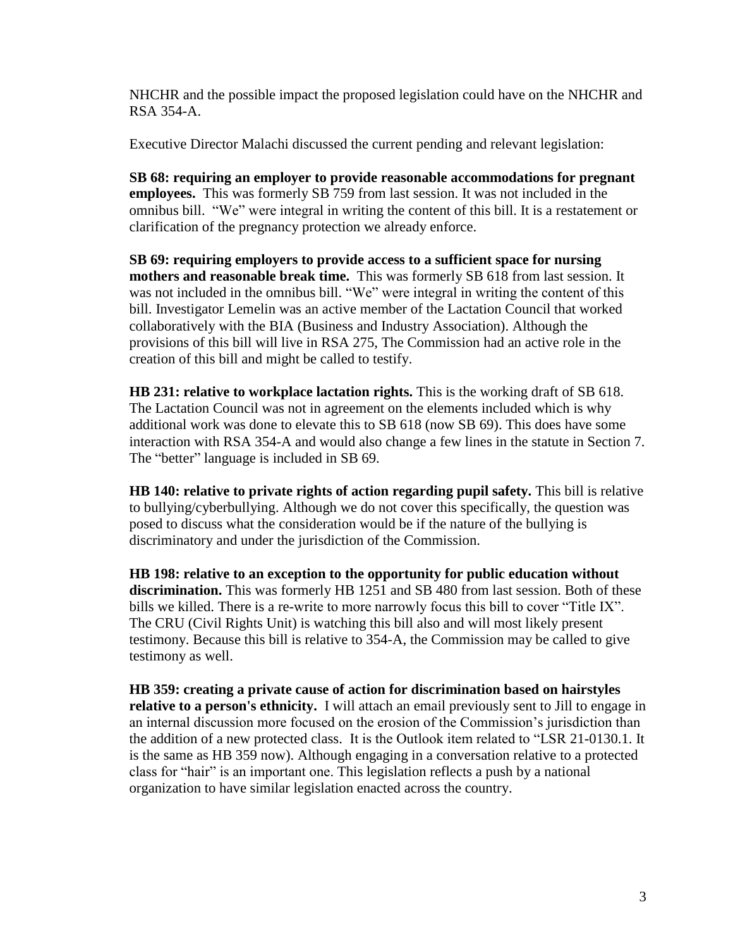NHCHR and the possible impact the proposed legislation could have on the NHCHR and RSA 354-A.

Executive Director Malachi discussed the current pending and relevant legislation:

**SB 68: requiring an employer to provide reasonable accommodations for pregnant employees.** This was formerly SB 759 from last session. It was not included in the omnibus bill. "We" were integral in writing the content of this bill. It is a restatement or clarification of the pregnancy protection we already enforce.

**SB 69: requiring employers to provide access to a sufficient space for nursing mothers and reasonable break time.** This was formerly SB 618 from last session. It was not included in the omnibus bill. "We" were integral in writing the content of this bill. Investigator Lemelin was an active member of the Lactation Council that worked collaboratively with the BIA (Business and Industry Association). Although the provisions of this bill will live in RSA 275, The Commission had an active role in the creation of this bill and might be called to testify.

**HB 231: relative to workplace lactation rights.** This is the working draft of SB 618. The Lactation Council was not in agreement on the elements included which is why additional work was done to elevate this to SB 618 (now SB 69). This does have some interaction with RSA 354-A and would also change a few lines in the statute in Section 7. The "better" language is included in SB 69.

**HB 140: relative to private rights of action regarding pupil safety.** This bill is relative to bullying/cyberbullying. Although we do not cover this specifically, the question was posed to discuss what the consideration would be if the nature of the bullying is discriminatory and under the jurisdiction of the Commission.

**HB 198: relative to an exception to the opportunity for public education without** discrimination. This was formerly HB 1251 and SB 480 from last session. Both of these bills we killed. There is a re-write to more narrowly focus this bill to cover "Title IX". The CRU (Civil Rights Unit) is watching this bill also and will most likely present testimony. Because this bill is relative to 354-A, the Commission may be called to give testimony as well.

**HB 359: creating a private cause of action for discrimination based on hairstyles relative to a person's ethnicity.** I will attach an email previously sent to Jill to engage in an internal discussion more focused on the erosion of the Commission's jurisdiction than the addition of a new protected class. It is the Outlook item related to "LSR 21-0130.1. It is the same as HB 359 now). Although engaging in a conversation relative to a protected class for "hair" is an important one. This legislation reflects a push by a national organization to have similar legislation enacted across the country.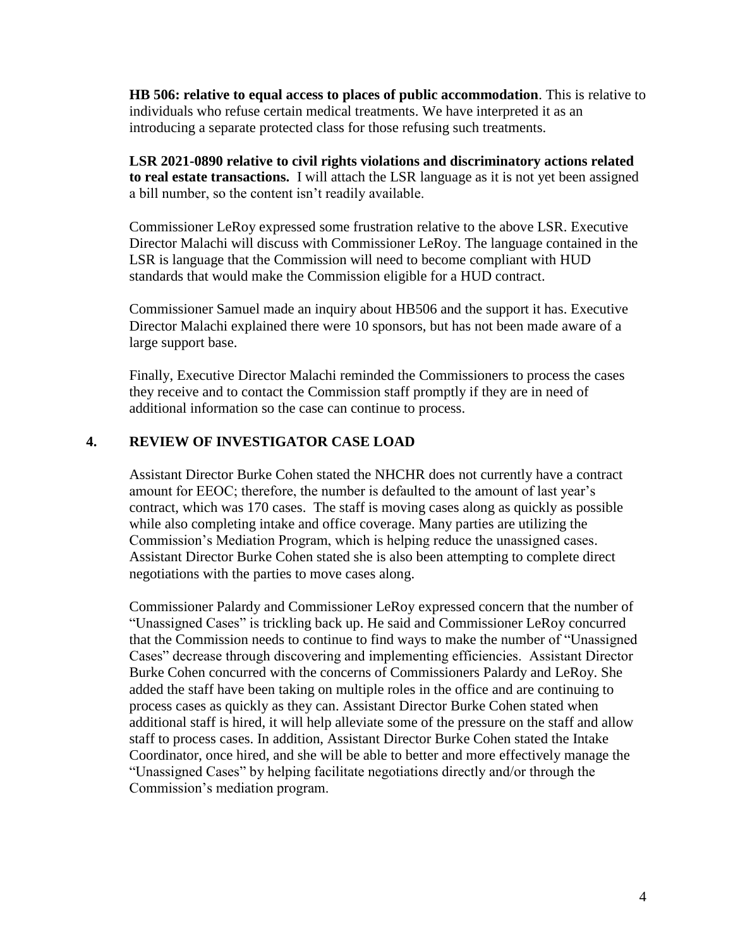**HB 506: relative to equal access to places of public accommodation**. This is relative to individuals who refuse certain medical treatments. We have interpreted it as an introducing a separate protected class for those refusing such treatments.

**LSR 2021-0890 relative to civil rights violations and discriminatory actions related to real estate transactions.** I will attach the LSR language as it is not yet been assigned a bill number, so the content isn't readily available.

Commissioner LeRoy expressed some frustration relative to the above LSR. Executive Director Malachi will discuss with Commissioner LeRoy. The language contained in the LSR is language that the Commission will need to become compliant with HUD standards that would make the Commission eligible for a HUD contract.

Commissioner Samuel made an inquiry about HB506 and the support it has. Executive Director Malachi explained there were 10 sponsors, but has not been made aware of a large support base.

Finally, Executive Director Malachi reminded the Commissioners to process the cases they receive and to contact the Commission staff promptly if they are in need of additional information so the case can continue to process.

## **4. REVIEW OF INVESTIGATOR CASE LOAD**

Assistant Director Burke Cohen stated the NHCHR does not currently have a contract amount for EEOC; therefore, the number is defaulted to the amount of last year's contract, which was 170 cases. The staff is moving cases along as quickly as possible while also completing intake and office coverage. Many parties are utilizing the Commission's Mediation Program, which is helping reduce the unassigned cases. Assistant Director Burke Cohen stated she is also been attempting to complete direct negotiations with the parties to move cases along.

Commissioner Palardy and Commissioner LeRoy expressed concern that the number of "Unassigned Cases" is trickling back up. He said and Commissioner LeRoy concurred that the Commission needs to continue to find ways to make the number of "Unassigned Cases" decrease through discovering and implementing efficiencies. Assistant Director Burke Cohen concurred with the concerns of Commissioners Palardy and LeRoy. She added the staff have been taking on multiple roles in the office and are continuing to process cases as quickly as they can. Assistant Director Burke Cohen stated when additional staff is hired, it will help alleviate some of the pressure on the staff and allow staff to process cases. In addition, Assistant Director Burke Cohen stated the Intake Coordinator, once hired, and she will be able to better and more effectively manage the "Unassigned Cases" by helping facilitate negotiations directly and/or through the Commission's mediation program.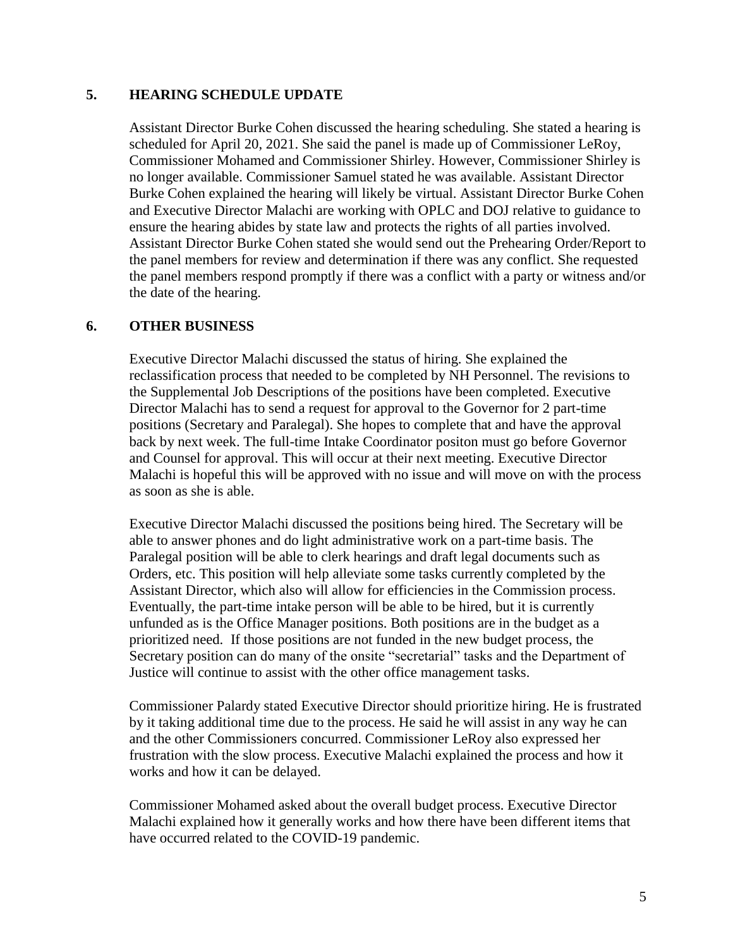#### **5. HEARING SCHEDULE UPDATE**

Assistant Director Burke Cohen discussed the hearing scheduling. She stated a hearing is scheduled for April 20, 2021. She said the panel is made up of Commissioner LeRoy, Commissioner Mohamed and Commissioner Shirley. However, Commissioner Shirley is no longer available. Commissioner Samuel stated he was available. Assistant Director Burke Cohen explained the hearing will likely be virtual. Assistant Director Burke Cohen and Executive Director Malachi are working with OPLC and DOJ relative to guidance to ensure the hearing abides by state law and protects the rights of all parties involved. Assistant Director Burke Cohen stated she would send out the Prehearing Order/Report to the panel members for review and determination if there was any conflict. She requested the panel members respond promptly if there was a conflict with a party or witness and/or the date of the hearing.

## **6. OTHER BUSINESS**

Executive Director Malachi discussed the status of hiring. She explained the reclassification process that needed to be completed by NH Personnel. The revisions to the Supplemental Job Descriptions of the positions have been completed. Executive Director Malachi has to send a request for approval to the Governor for 2 part-time positions (Secretary and Paralegal). She hopes to complete that and have the approval back by next week. The full-time Intake Coordinator positon must go before Governor and Counsel for approval. This will occur at their next meeting. Executive Director Malachi is hopeful this will be approved with no issue and will move on with the process as soon as she is able.

Executive Director Malachi discussed the positions being hired. The Secretary will be able to answer phones and do light administrative work on a part-time basis. The Paralegal position will be able to clerk hearings and draft legal documents such as Orders, etc. This position will help alleviate some tasks currently completed by the Assistant Director, which also will allow for efficiencies in the Commission process. Eventually, the part-time intake person will be able to be hired, but it is currently unfunded as is the Office Manager positions. Both positions are in the budget as a prioritized need. If those positions are not funded in the new budget process, the Secretary position can do many of the onsite "secretarial" tasks and the Department of Justice will continue to assist with the other office management tasks.

Commissioner Palardy stated Executive Director should prioritize hiring. He is frustrated by it taking additional time due to the process. He said he will assist in any way he can and the other Commissioners concurred. Commissioner LeRoy also expressed her frustration with the slow process. Executive Malachi explained the process and how it works and how it can be delayed.

Commissioner Mohamed asked about the overall budget process. Executive Director Malachi explained how it generally works and how there have been different items that have occurred related to the COVID-19 pandemic.